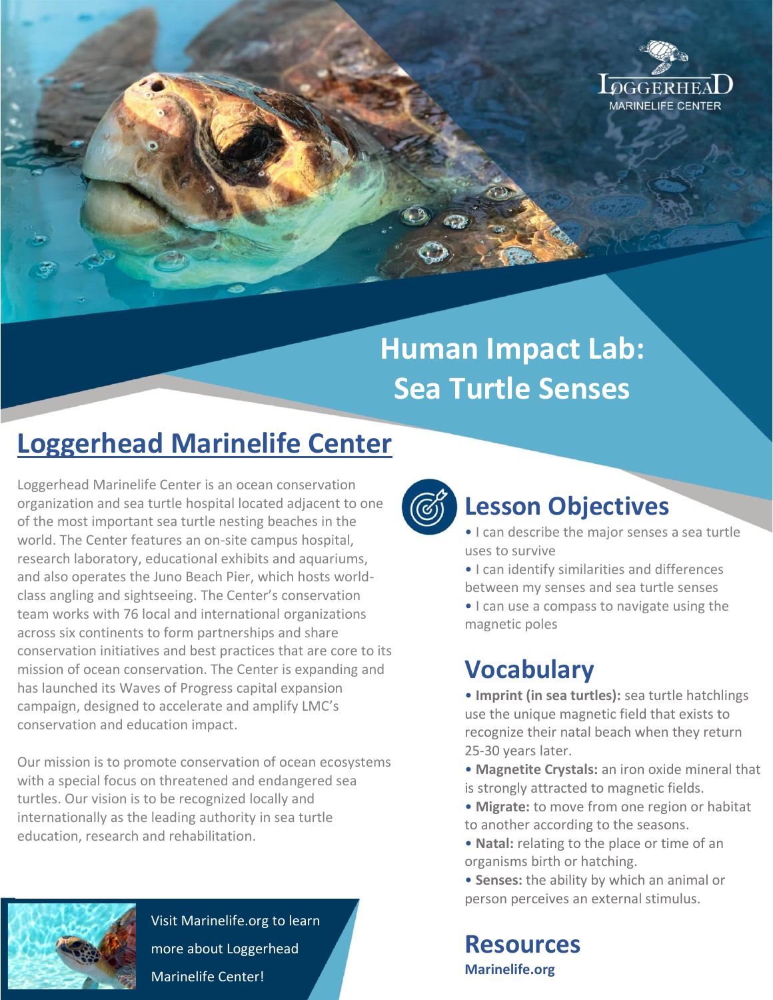

# **Human Impact Lab: Sea Turtle Senses**

# **Loggerhead Marinelife Center**

Loggerhead Marinelife Center is an ocean conservation organization and sea turtle hospital located adjacent to one of the most important sea turtle nesting beaches in the world. The Center features an on-site campus hospital. research laboratory, educational exhibits and aquariums, and also operates the Juno Beach Pier, which hosts worldclass angling and sightseeing. The Center's conservation team works with 76 local and international organizations across six continents to form partnerships and share conservation initiatives and best practices that are core to its mission of ocean conservation. The Center is expanding and has launched its Waves of Progress capital expansion campaign, designed to accelerate and amplify LMC's conservation and education impact.

Our mission is to promote conservation of ocean ecosystems with a special focus on threatened and endangered sea turtles. Our vision is to be recognized locally and internationally as the leading authority in sea turtle education, research and rehabilitation.



Visit Marinelife.org to learn more about Loggerhead Marinelife Center!



### **Lesson Objectives**

- I can describe the major senses a sea turtle uses to survive
- I can identify similarities and differences between my senses and sea turtle senses

• I can use a compass to navigate using the magnetic poles

## **Vocabulary**

• **Imprint (in sea turtles):** sea turtle hatchlings use the unique magnetic field that exists to recognize their natal beach when they return 25-30 years later.

- **Magnetite Crystals:** an iron oxide mineral that is strongly attracted to magnetic fields.
- **Migrate:** to move from one region or habitat to another according to the seasons.
- **Natal:** relating to the place or time of an organisms birth or hatching.
- **Senses:** the ability by which an animal or person perceives an external stimulus.

**Resources Marinelife.org**